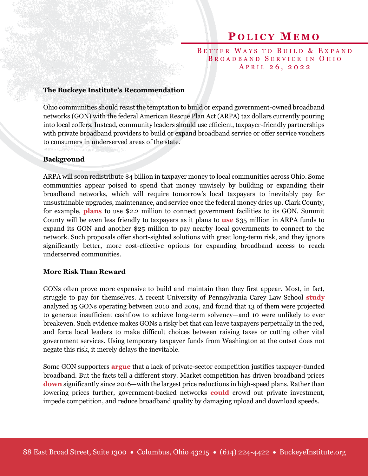# **P O L I C Y M E M O**

## BETTER WAYS TO BUILD & EXPAND BROADBAND SERVICE IN OHIO A P R I L 2 6, 2 0 2 2

#### **The Buckeye Institute's Recommendation**

Ohio communities should resist the temptation to build or expand government-owned broadband networks (GON) with the federal American Rescue Plan Act (ARPA) tax dollars currently pouring into local coffers. Instead, community leaders should use efficient, taxpayer-friendly partnerships with private broadband providers to build or expand broadband service or offer service vouchers to consumers in underserved areas of the state.

#### **Background**

ARPA will soon redistribute \$4 billion in taxpayer money to local communities across Ohio. Some communities appear poised to spend that money unwisely by building or expanding their broadband networks, which will require tomorrow's local taxpayers to inevitably pay for unsustainable upgrades, maintenance, and service once the federal money dries up. Clark County, for example, **[plans](https://www.govtech.com/network/clark-county-ohio-commits-2-2m-to-fiber-optic-project)** to use \$2.2 million to connect government facilities to its GON. Summit County will be even less friendly to taxpayers as it plans to **[use](https://co.summitoh.net/files-generic/19020/file/proposed-recovery-plan-arpa.pdf)** \$35 million in ARPA funds to expand its GON and another \$25 million to pay nearby local governments to connect to the network. Such proposals offer short-sighted solutions with great long-term risk, and they ignore significantly better, more cost-effective options for expanding broadband access to reach underserved communities.

#### **More Risk Than Reward**

GONs often prove more expensive to build and maintain than they first appear. Most, in fact, struggle to pay for themselves. A recent University of Pennsylvania Carey Law School **[study](https://scholarship.law.upenn.edu/cgi/viewcontent.cgi?article=3448&context=faculty_scholarship)** analyzed 15 GONs operating between 2010 and 2019, and found that 13 of them were projected to generate insufficient cashflow to achieve long-term solvency—and 10 were unlikely to ever breakeven. Such evidence makes GONs a risky bet that can leave taxpayers perpetually in the red, and force local leaders to make difficult choices between raising taxes or cutting other vital government services. Using temporary taxpayer funds from Washington at the outset does not negate this risk, it merely delays the inevitable.

Some GON supporters **[argue](https://www.news5cleveland.com/news/local-news/in-depth/opponents-fear-proposed-municipal-broadband-ban-would-create-state-sanctioned-isp-monopoly)** that a lack of private-sector competition justifies taxpayer-funded broadband. But the facts tell a different story. Market competition has driven broadband prices **[down](https://broadbandnow.com/internet/broadband-pricing-changes)** significantly since 2016—with the largest price reductions in high-speed plans. Rather than lowering prices further, government-backed networks **[could](https://www.thecgo.org/wp-content/uploads/2020/10/Are-Government-Owned-Broadband-Networks-Effective.pdf)** crowd out private investment, impede competition, and reduce broadband quality by damaging upload and download speeds.